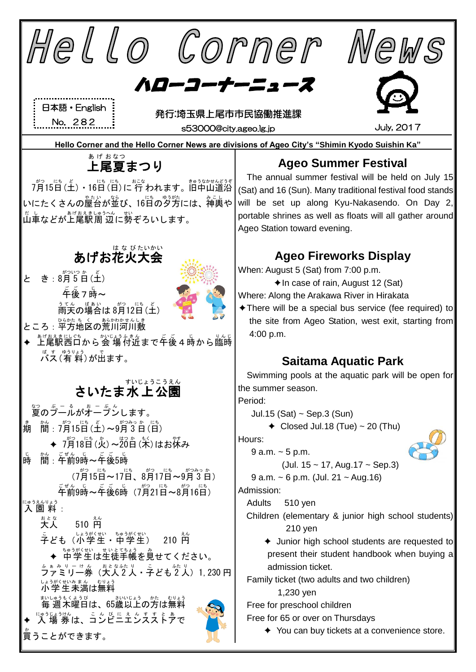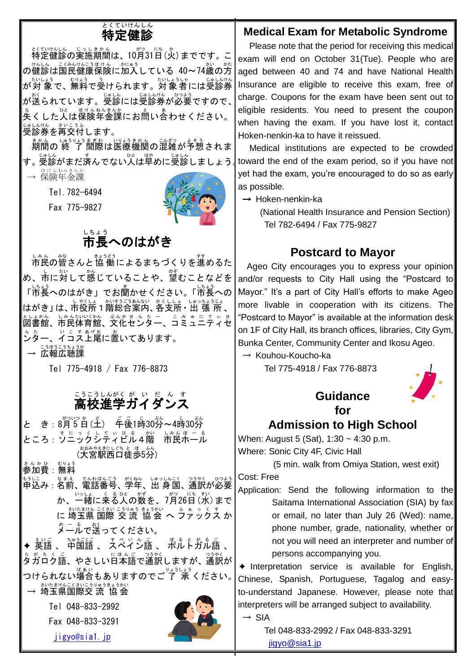#### 特定 健 診 とくていけんしん

特定 とくてい 健 けん 診 しん の実施 じっし 期間 きかん は、10月 がつ 31日 にち (火 か )までです。こ <sub>の健診は国民健康保険に加入している 40~74歳の方</sub> が対 象 たいしょう で、無料 むりょう で受 う けられます。対象者 たいしょうしゃ には受診券 じゅしんけん が送られています。受診には受診券が必要ですので、 、。<br>失くした人は保険年金課にお問い合わせください。 受診券 じゅしんけん を再交付 さいこうふ します。

期間 きかん の 終 了 しゅうりょう 間際 まぎわ は医療 いりょう 機関 きかん の混雑 こんざつ が予想 よそう されま す。受診がまだ済んでない人は早めに受診しましょう。↓↓ → 保険年金課

Tel.782-6494

Fax 775-9827



# 。。。。<br>市長へのはがき

し。。<br>市民の皆さんと 協 働によるまちづくりを進めるた め、市に対して感じていることや、望むことなどを 「市長へのはがき」でお聞かせください。「市長への はがき」は、市役所1階総合案内、各支所・出 張 所 、 としまかん、しみんない≦が、 ぶんかせ ん た ニ 、こ み ゅ に て ぃ せ<br>図書館、市民体育館、文化センター、コミュニティセ 。<br>ンター、イコス上尾に置いてあります。 → 広報広聴課

Tel 775-4918 / Fax 776-8873

# <u>こうこうしんがく がっしょう んしょう</u><br>高校進学ガイダンス

と き:8月5日(土) 年後1時30労~4時30労 ところ:ソニックシティビル そ に っ く し て ぃ び る 4階 かい 市民 しみん ホール ほーる (大宮駅西口徒歩5分)

<u>ょんかひ、むりょう</u><br>参加費:無料

もうしこ なまぇ でんわばんごう が{ねん。しゅっしんこく つうゃく いつよう<br>申込み:名前、電話番号、学年、出 身国、通訳が必要 か、一緒に来る人の数を、7月26日(水)まで に 埼玉県 国際 交 流 協会 ヘ ファックス か 。− 。。。。<br>メールで送ってください。

◆ 英語 、 中国語 、 スペイン語 、 ポルトガル語 、 、<br>タガロク語、 やさしい日本語で通訳しますが、 通訳が つけられない<sup>ばぁぃ</sup><br>つけられない場合もありますのでご 了 承 ください。

→ 埼玉県国際交 流 協会

Tel 048-833-2992 Fax 048-833-3291

[jigyo@sia1.jp](mailto:jigyo@sia1.jp)



### **Medical Exam for Metabolic Syndrome**

Please note that the period for receiving this medical exam will end on October 31(Tue). People who are aged between 40 and 74 and have National Health Insurance are eligible to receive this exam, free of charge. Coupons for the exam have been sent out to eligible residents. You need to present the coupon when having the exam. If you have lost it, contact Hoken-nenkin-ka to have it reissued.

Medical institutions are expected to be crowded toward the end of the exam period, so if you have not yet had the exam, you're encouraged to do so as early as possible.

→ Hoken-nenkin-ka

(National Health Insurance and Pension Section) Tel 782-6494 / Fax 775-9827

## **Postcard to Mayor**

 Ageo City encourages you to express your opinion and/or requests to City Hall using the "Postcard to Mayor." It's a part of City Hall's efforts to make Ageo more livable in cooperation with its citizens. The "Postcard to Mayor" is available at the information desk on 1F of City Hall, its branch offices, libraries, City Gym, Bunka Center, Community Center and Ikosu Ageo.

→ Kouhou-Koucho-ka

Tel 775-4918 / Fax 776-8873



## **Admission to High School**

When: August 5 (Sat), 1:30 ~ 4:30 p.m. Where: Sonic City 4F, Civic Hall

(5 min. walk from Omiya Station, west exit)

Cost: Free

Application: Send the following information to the Saitama International Association (SIA) by fax or email, no later than July 26 (Wed): name, phone number, grade, nationality, whether or not you will need an interpreter and number of persons accompanying you.

✦ Interpretation service is available for English, Chinese, Spanish, Portuguese, Tagalog and easyto-understand Japanese. However, please note that interpreters will be arranged subject to availability.  $\rightarrow$  SIA

> Tel 048-833-2992 / Fax 048-833-3291 [jigyo@sia1.jp](mailto:jigyo@sia1.jp)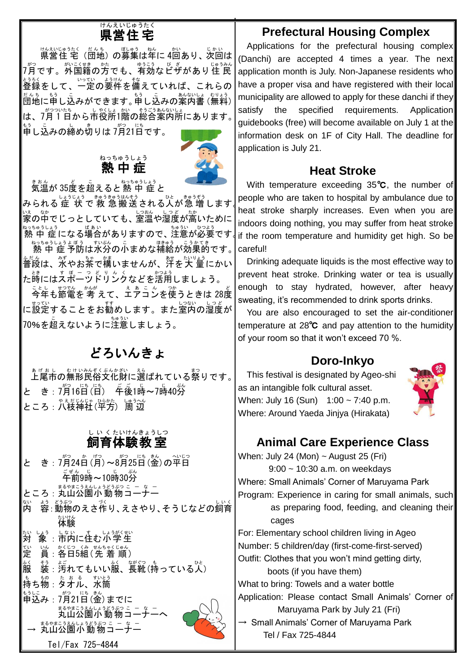#### 県営 住 宅 けんえい じゅうたく

<sub>はなじゅうたく(たんち)</sub>の募集は年に 4回あり、次回は プ゚゚゙゙ ?です。 \*゚゚゚゚゚゚ゕ゠ヾ゠゙ゕ゚゠゠<br>7月です。外国籍の方でも、有効なビザがあり住 民 عودي<br>登録をして、一定の要件を備えていれば、これらの たんち。」。<br>団地に申し込みができます。申し込みの案内書 (無料) | は、7月1日から市役所1階の総合案内所にあります。 <u>。</u><br>申し込みの締め切りは 7月21日です。

#### 熱中症 ねっちゅうしょう



まぁ。<br>気温が 35度を超えると 熱 中 症 と

みられる 症 状 で 救 急 搬送 される人が急 増 します ∫! い。。。。<br>家の中でじっとしていても、室温や湿度が高いために ねっちゅうしょう<br>|熱 中 症になる場合がありますので、注意が必要です。|

ねっちゅうしょう ぼう こうかてき<br>|熱 中 症 予防は水分の小まめな補給が効果的です。| 普段 ふだん は、水 みず やお茶 ちゃ で構 かま いませんが、汗 あせ を大 量 たいりょう にかい た嵵にはスポーッドリンクなどを活用しましょう。

ことしょ お覧を 考 えて、<u>ぇぁこん</u><br>今年も節電を 考 えて、エアコンを使うときは 28度 に設定することをお勧めします。また室内の湿度が 70%を超 こ えないように注意 ちゅうい しましょう。

## どろいんきょ

ぁげぉし。ぉゖぃゕぇくゞんゕぉぃ<br>上尾市の無形民俗文化財に選ばれている祭りです。 と き:7月16日(日) 年後1時~7時40労 ところ : 八枝神社(平方) 周辺

#### 飼育 体験 教 室 し い く たいけん きょうしつ

と き:7月24日(月)~8月25日(金)の平日 <sub>。」。。</sub><br>午前9時~10時30分 ところ : 丸山公園小動物コーナー 内 ない <u>ょ。の</u>。。。。<br>容: 動物のえさ作り、えさやり、そうじなどの飼育 体験 たいけん 対 たい しょぅ、しょぃ、す、しょぅがくせい<br>「象 :市内に住む小学生 定 てい い。 。<<> まんちゃくじゅん<br>眞 : 各日5組(先 着 順) 。〈<br>服 <sub>る。。。</sub><br>装 : 汚れてもいい服、長靴(持っている人) ものもな。。<br>持ち物:タオル、水筒 もうしこ<br>申込み : 7月21日 (金) までに まるやまこうえんしょうどうぶっ こ - s -<br>**丸山公園小 動 物 コ 一ナ一**  $\sim$ — ぁぁゃ<sub>まこうぇんしょうどうぶっこ - a -<br>**→ 丸山公園小動物コーナー**</sub> Tel/Fax 725-4844

## **Prefectural Housing Complex**

Applications for the prefectural housing complex (Danchi) are accepted 4 times a year. The next application month is July. Non-Japanese residents who have a proper visa and have registered with their local municipality are allowed to apply for these danchi if they satisfy the specified requirements. Application guidebooks (free) will become available on July 1 at the information desk on 1F of City Hall. The deadline for application is July 21.

### **Heat Stroke**

With temperature exceeding 35℃, the number of people who are taken to hospital by ambulance due to heat stroke sharply increases. Even when you are indoors doing nothing, you may suffer from heat stroke if the room temperature and humidity get high. So be careful!

Drinking adequate liquids is the most effective way to prevent heat stroke. Drinking water or tea is usually enough to stay hydrated, however, after heavy sweating, it's recommended to drink sports drinks.

You are also encouraged to set the air-conditioner temperature at 28℃ and pay attention to the humidity of your room so that it won't exceed 70 %.

## **Doro-Inkyo**

 This festival is designated by Ageo-shi as an intangible folk cultural asset. When: July 16 (Sun) 1:00 ~ 7:40 p.m. Where: Around Yaeda Jinjya (Hirakata)



## **Animal Care Experience Class**

When: July 24 (Mon)  $\sim$  August 25 (Fri) 9:00 ~ 10:30 a.m. on weekdays Where: Small Animals' Corner of Maruyama Park Program: Experience in caring for small animals, such as preparing food, feeding, and cleaning their cages For: Elementary school children living in Ageo Number: 5 children/day (first-come-first-served) Outfit: Clothes that you won't mind getting dirty, boots (if you have them) What to bring: Towels and a water bottle Application: Please contact Small Animals' Corner of Maruyama Park by July 21 (Fri)  $\rightarrow$  Small Animals' Corner of Maruyama Park Tel / Fax 725-4844